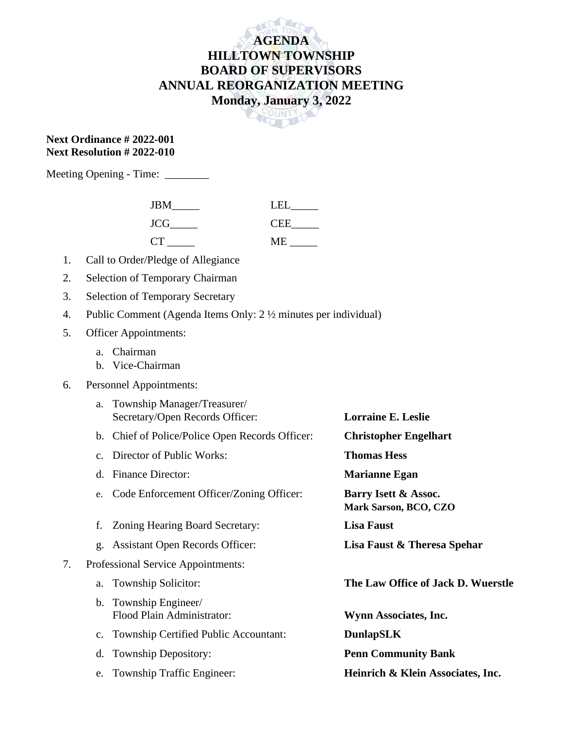## **AGENDA HILLTOWN TOWNSHIP BOARD OF SUPERVISORS ANNUAL REORGANIZATION MEETING Monday, January 3, 2022**



## **Next Ordinance # 2022-001 Next Resolution # 2022-010**

Meeting Opening - Time: \_\_\_\_\_\_\_\_

| <b>JBM</b> | T EI       |
|------------|------------|
| <b>JCG</b> | <b>CEE</b> |
| CT         | MЕ         |

- 1. Call to Order/Pledge of Allegiance
- 2. Selection of Temporary Chairman
- 3. Selection of Temporary Secretary
- 4. Public Comment (Agenda Items Only: 2 ½ minutes per individual)
- 5. Officer Appointments:
	- a. Chairman
	- b. Vice-Chairman
- 6. Personnel Appointments:

|    | a.             | Township Manager/Treasurer/<br>Secretary/Open Records Officer: | <b>Lorraine E. Leslie</b>                            |
|----|----------------|----------------------------------------------------------------|------------------------------------------------------|
|    |                | b. Chief of Police/Police Open Records Officer:                | <b>Christopher Engelhart</b>                         |
|    | $C_{\bullet}$  | Director of Public Works:                                      | <b>Thomas Hess</b>                                   |
|    | d.             | <b>Finance Director:</b>                                       | <b>Marianne Egan</b>                                 |
|    | e.             | Code Enforcement Officer/Zoning Officer:                       | Barry Isett & Assoc.<br><b>Mark Sarson, BCO, CZO</b> |
|    | f.             | Zoning Hearing Board Secretary:                                | <b>Lisa Faust</b>                                    |
|    | g.             | <b>Assistant Open Records Officer:</b>                         | Lisa Faust & Theresa Spehar                          |
| 7. |                | Professional Service Appointments:                             |                                                      |
|    | a.             | Township Solicitor:                                            | The Law Office of Jack D. Wuerstle                   |
|    | $\mathbf{b}$ . | Township Engineer/<br>Flood Plain Administrator:               | Wynn Associates, Inc.                                |
|    | $C_{\bullet}$  | Township Certified Public Accountant:                          | <b>DunlapSLK</b>                                     |
|    | d.             | <b>Township Depository:</b>                                    | <b>Penn Community Bank</b>                           |
|    | e.             | Township Traffic Engineer:                                     | Heinrich & Klein Associates, Inc.                    |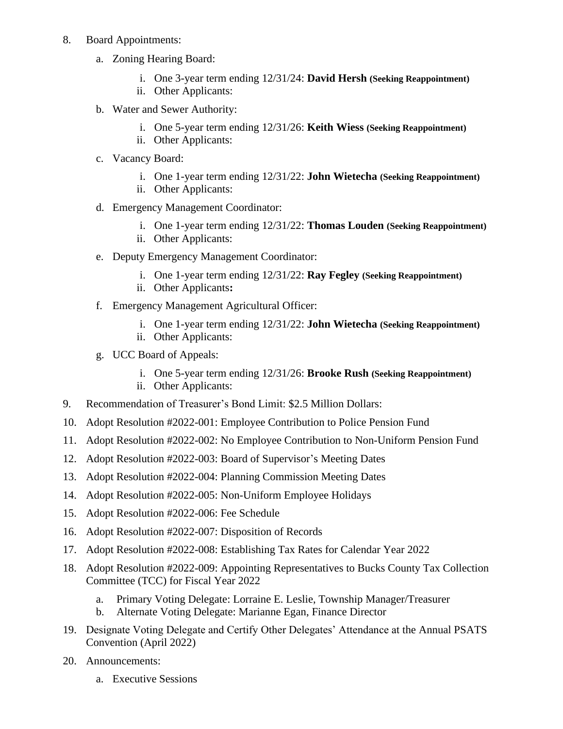- 8. Board Appointments:
	- a. Zoning Hearing Board:
		- i. One 3-year term ending 12/31/24: **David Hersh (Seeking Reappointment)**
		- ii. Other Applicants:
	- b. Water and Sewer Authority:
		- i. One 5-year term ending 12/31/26: **Keith Wiess (Seeking Reappointment)**
		- ii. Other Applicants:
	- c. Vacancy Board:
		- i. One 1-year term ending 12/31/22: **John Wietecha (Seeking Reappointment)**
		- ii. Other Applicants:
	- d. Emergency Management Coordinator:
		- i. One 1-year term ending 12/31/22: **Thomas Louden (Seeking Reappointment)**
		- ii. Other Applicants:
	- e. Deputy Emergency Management Coordinator:
		- i. One 1-year term ending 12/31/22: **Ray Fegley (Seeking Reappointment)**
		- ii. Other Applicants**:**
	- f. Emergency Management Agricultural Officer:
		- i. One 1-year term ending 12/31/22: **John Wietecha (Seeking Reappointment)**
		- ii. Other Applicants:
	- g. UCC Board of Appeals:
		- i. One 5-year term ending 12/31/26: **Brooke Rush (Seeking Reappointment)**
		- ii. Other Applicants:
- 9. Recommendation of Treasurer's Bond Limit: \$2.5 Million Dollars:
- 10. Adopt Resolution #2022-001: Employee Contribution to Police Pension Fund
- 11. Adopt Resolution #2022-002: No Employee Contribution to Non-Uniform Pension Fund
- 12. Adopt Resolution #2022-003: Board of Supervisor's Meeting Dates
- 13. Adopt Resolution #2022-004: Planning Commission Meeting Dates
- 14. Adopt Resolution #2022-005: Non-Uniform Employee Holidays
- 15. Adopt Resolution #2022-006: Fee Schedule
- 16. Adopt Resolution #2022-007: Disposition of Records
- 17. Adopt Resolution #2022-008: Establishing Tax Rates for Calendar Year 2022
- 18. Adopt Resolution #2022-009: Appointing Representatives to Bucks County Tax Collection Committee (TCC) for Fiscal Year 2022
	- a. Primary Voting Delegate: Lorraine E. Leslie, Township Manager/Treasurer
	- b. Alternate Voting Delegate: Marianne Egan, Finance Director
- 19. Designate Voting Delegate and Certify Other Delegates' Attendance at the Annual PSATS Convention (April 2022)
- 20. Announcements:
	- a. Executive Sessions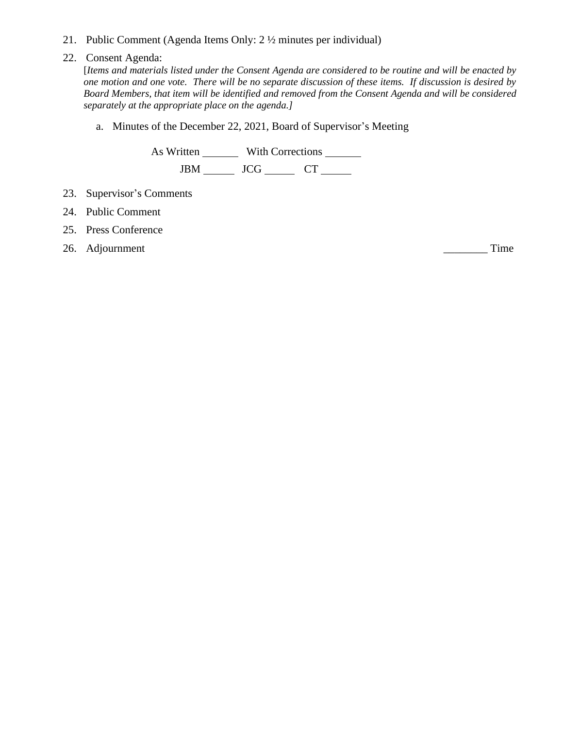21. Public Comment (Agenda Items Only: 2 ½ minutes per individual)

## 22. Consent Agenda:

[*Items and materials listed under the Consent Agenda are considered to be routine and will be enacted by one motion and one vote. There will be no separate discussion of these items. If discussion is desired by Board Members, that item will be identified and removed from the Consent Agenda and will be considered separately at the appropriate place on the agenda.]*

a. Minutes of the December 22, 2021, Board of Supervisor's Meeting

As Written With Corrections JBM \_\_\_\_\_\_ JCG \_\_\_\_\_\_ CT \_\_\_\_\_

- 23. Supervisor's Comments
- 24. Public Comment
- 25. Press Conference
- 26. Adjournment Time